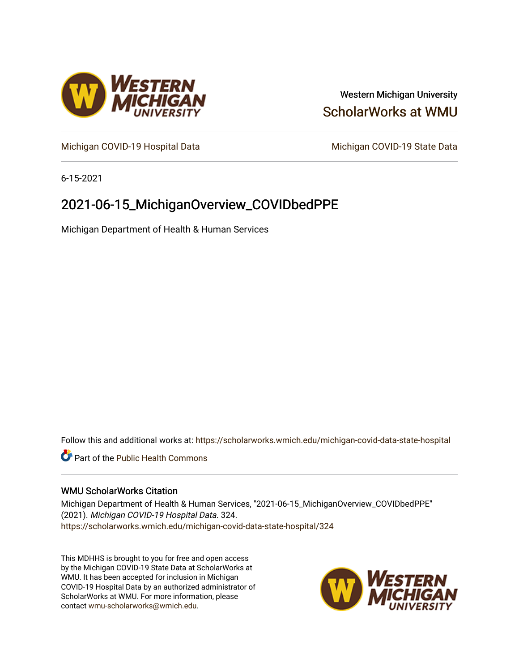

# Western Michigan University [ScholarWorks at WMU](https://scholarworks.wmich.edu/)

[Michigan COVID-19 Hospital Data](https://scholarworks.wmich.edu/michigan-covid-data-state-hospital) Michigan COVID-19 State Data

6-15-2021

# 2021-06-15\_MichiganOverview\_COVIDbedPPE

Michigan Department of Health & Human Services

Follow this and additional works at: [https://scholarworks.wmich.edu/michigan-covid-data-state-hospital](https://scholarworks.wmich.edu/michigan-covid-data-state-hospital?utm_source=scholarworks.wmich.edu%2Fmichigan-covid-data-state-hospital%2F324&utm_medium=PDF&utm_campaign=PDFCoverPages) 

**Part of the Public Health Commons** 

### WMU ScholarWorks Citation

Michigan Department of Health & Human Services, "2021-06-15\_MichiganOverview\_COVIDbedPPE" (2021). Michigan COVID-19 Hospital Data. 324. [https://scholarworks.wmich.edu/michigan-covid-data-state-hospital/324](https://scholarworks.wmich.edu/michigan-covid-data-state-hospital/324?utm_source=scholarworks.wmich.edu%2Fmichigan-covid-data-state-hospital%2F324&utm_medium=PDF&utm_campaign=PDFCoverPages) 

This MDHHS is brought to you for free and open access by the Michigan COVID-19 State Data at ScholarWorks at WMU. It has been accepted for inclusion in Michigan COVID-19 Hospital Data by an authorized administrator of ScholarWorks at WMU. For more information, please contact [wmu-scholarworks@wmich.edu](mailto:wmu-scholarworks@wmich.edu).

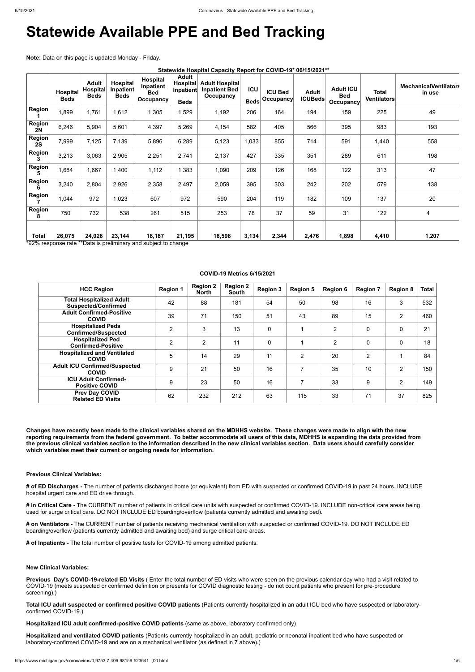# **Statewide Available PPE and Bed Tracking**

**Note:** Data on this page is updated Monday - Friday.

| Statewide Hospital Capacity Report for COVID-19* 06/15/2021** |  |  |  |
|---------------------------------------------------------------|--|--|--|
|---------------------------------------------------------------|--|--|--|

|                     | <b>Hospital</b><br><b>Beds</b> | <b>Adult</b><br>Hospital<br><b>Beds</b> | Hospital<br>Inpatient<br><b>Beds</b> | Hospital<br>Inpatient<br><b>Bed</b><br><b>Occupancy</b> | <b>Adult</b><br><b>Hospital</b><br>Inpatient<br><b>Beds</b> | <b>Adult Hospital</b><br><b>Inpatient Bed</b><br>Occupancy | <b>ICU</b><br><b>Beds</b> | <b>ICU Bed</b><br>Occupancy | <b>Adult</b><br><b>ICUBeds</b> | <b>Adult ICU</b><br><b>Bed</b><br><b>Occupancy</b> | Total<br><b>Ventilators</b> | <b>MechanicalVentilators</b><br>in use |
|---------------------|--------------------------------|-----------------------------------------|--------------------------------------|---------------------------------------------------------|-------------------------------------------------------------|------------------------------------------------------------|---------------------------|-----------------------------|--------------------------------|----------------------------------------------------|-----------------------------|----------------------------------------|
| <b>Region</b>       | 1,899                          | 1,761                                   | 1,612                                | 1,305                                                   | 1,529                                                       | 1,192                                                      | 206                       | 164                         | 194                            | 159                                                | 225                         | 49                                     |
| Region<br>2N        | 6,246                          | 5,904                                   | 5,601                                | 4,397                                                   | 5,269                                                       | 4,154                                                      | 582                       | 405                         | 566                            | 395                                                | 983                         | 193                                    |
| <b>Region</b><br>2S | 7,999                          | 7,125                                   | 7,139                                | 5,896                                                   | 6,289                                                       | 5,123                                                      | 1,033                     | 855                         | 714                            | 591                                                | 1,440                       | 558                                    |
| Region<br>3         | 3,213                          | 3,063                                   | 2,905                                | 2,251                                                   | 2,741                                                       | 2,137                                                      | 427                       | 335                         | 351                            | 289                                                | 611                         | 198                                    |
| Region<br>5         | 1,684                          | 1,667                                   | 1,400                                | 1,112                                                   | 1,383                                                       | 1,090                                                      | 209                       | 126                         | 168                            | 122                                                | 313                         | 47                                     |
| Region<br>6         | 3,240                          | 2,804                                   | 2,926                                | 2,358                                                   | 2,497                                                       | 2,059                                                      | 395                       | 303                         | 242                            | 202                                                | 579                         | 138                                    |
| Region              | 1,044                          | 972                                     | 1,023                                | 607                                                     | 972                                                         | 590                                                        | 204                       | 119                         | 182                            | 109                                                | 137                         | 20                                     |
| <b>Region</b><br>8  | 750                            | 732                                     | 538                                  | 261                                                     | 515                                                         | 253                                                        | 78                        | 37                          | 59                             | 31                                                 | 122                         | $\overline{4}$                         |
| <b>Total</b>        | 26,075                         | 24,028                                  | 23,144                               | 18,187                                                  | 21,195                                                      | 16,598                                                     | 3,134                     | 2,344                       | 2,476                          | 1,898                                              | 4,410                       | 1,207                                  |

\*92% response rate \*\*Data is preliminary and subject to change

#### **COVID-19 Metrics 6/15/2021**

| <b>HCC Region</b>                                             | <b>Region 1</b> | <b>Region 2</b><br><b>North</b> | <b>Region 2</b><br><b>South</b> | <b>Region 3</b> | <b>Region 5</b>          | <b>Region 6</b> | <b>Region 7</b> | <b>Region 8</b> | <b>Total</b> |
|---------------------------------------------------------------|-----------------|---------------------------------|---------------------------------|-----------------|--------------------------|-----------------|-----------------|-----------------|--------------|
| <b>Total Hospitalized Adult</b><br><b>Suspected/Confirmed</b> | 42              | 88                              | 181                             | 54              | 50                       | 98              | 16              | 3               | 532          |
| <b>Adult Confirmed-Positive</b><br><b>COVID</b>               | 39              | 71                              | 150                             | 51              | 43                       | 89              | 15              | $\overline{2}$  | 460          |
| <b>Hospitalized Peds</b><br><b>Confirmed/Suspected</b>        | $\overline{2}$  | 3                               | 13                              | $\mathbf 0$     |                          | $\overline{2}$  | $\mathbf 0$     | 0               | 21           |
| <b>Hospitalized Ped</b><br><b>Confirmed-Positive</b>          | 2               | 2                               | 11                              | $\mathbf 0$     |                          | 2               | $\mathbf 0$     | $\mathbf 0$     | 18           |
| <b>Hospitalized and Ventilated</b><br><b>COVID</b>            | 5               | 14                              | 29                              | 11              | $\overline{2}$           | 20              | 2               |                 | 84           |
| <b>Adult ICU Confirmed/Suspected</b><br><b>COVID</b>          | 9               | 21                              | 50                              | 16              | 7                        | 35              | 10              | $\overline{2}$  | 150          |
| <b>ICU Adult Confirmed-</b><br><b>Positive COVID</b>          | 9               | 23                              | 50                              | 16              | $\overline{\phantom{a}}$ | 33              | 9               | $\overline{2}$  | 149          |
| <b>Prev Day COVID</b><br><b>Related ED Visits</b>             | 62              | 232                             | 212                             | 63              | 115                      | 33              | 71              | 37              | 825          |

**Changes have recently been made to the clinical variables shared on the MDHHS website. These changes were made to align with the new reporting requirements from the federal government. To better accommodate all users of this data, MDHHS is expanding the data provided from the previous clinical variables section to the information described in the new clinical variables section. Data users should carefully consider which variables meet their current or ongoing needs for information.**

#### **Previous Clinical Variables:**

**# of ED Discharges -** The number of patients discharged home (or equivalent) from ED with suspected or confirmed COVID-19 in past 24 hours. INCLUDE hospital urgent care and ED drive through.

**# in Critical Care -** The CURRENT number of patients in critical care units with suspected or confirmed COVID-19. INCLUDE non-critical care areas being

used for surge critical care. DO NOT INCLUDE ED boarding/overflow (patients currently admitted and awaiting bed).

**# on Ventilators -** The CURRENT number of patients receiving mechanical ventilation with suspected or confirmed COVID-19. DO NOT INCLUDE ED boarding/overflow (patients currently admitted and awaiting bed) and surge critical care areas.

**# of Inpatients -** The total number of positive tests for COVID-19 among admitted patients.

**New Clinical Variables:**

**Previous Day's COVID-19-related ED Visits** ( Enter the total number of ED visits who were seen on the previous calendar day who had a visit related to COVID-19 (meets suspected or confirmed definition or presents for COVID diagnostic testing - do not count patients who present for pre-procedure screening).)

**Total ICU adult suspected or confirmed positive COVID patients** (Patients currently hospitalized in an adult ICU bed who have suspected or laboratoryconfirmed COVID-19.)

**Hospitalized ICU adult confirmed-positive COVID patients** (same as above, laboratory confirmed only)

**Hospitalized and ventilated COVID patients** (Patients currently hospitalized in an adult, pediatric or neonatal inpatient bed who have suspected or laboratory-confirmed COVID-19 and are on a mechanical ventilator (as defined in 7 above).)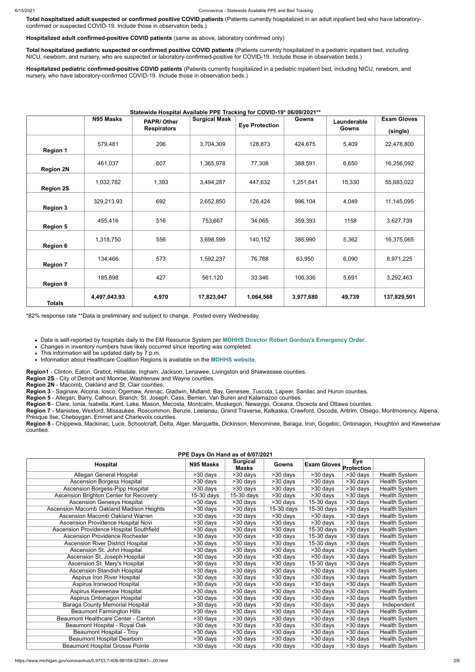**Total hospitalized adult suspected or confirmed positive COVID patients** (Patients currently hospitalized in an adult inpatient bed who have laboratoryconfirmed or suspected COVID-19. Include those in observation beds.)

**Hospitalized adult confirmed-positive COVID patients** (same as above, laboratory confirmed only)

**Total hospitalized pediatric suspected or confirmed positive COVID patients** (Patients currently hospitalized in a pediatric inpatient bed, including NICU, newborn, and nursery, who are suspected or laboratory-confirmed-positive for COVID-19. Include those in observation beds.)

**Hospitalized pediatric confirmed-positive COVID patients** (Patients currently hospitalized in a pediatric inpatient bed, including NICU, newborn, and nursery, who have laboratory-confirmed COVID-19. Include those in observation beds.)

## **Statewide Hospital Available PPE Tracking for COVID-19\* 06/09/2021\*\***

|                  | N95 Masks    | statswids 1155pital / walla<br><b>PAPR/Other</b> | <b>Surgical Mask</b> | <b>Eye Protection</b> | <b>Gowns</b> | Launderable  | <b>Exam Gloves</b> |
|------------------|--------------|--------------------------------------------------|----------------------|-----------------------|--------------|--------------|--------------------|
|                  |              | <b>Respirators</b>                               |                      |                       |              | <b>Gowns</b> | (single)           |
| <b>Region 1</b>  | 579,481      | 206                                              | 3,704,309            | 128,873               | 424,675      | 5,409        | 22,478,800         |
| <b>Region 2N</b> | 461,037      | 607                                              | 1,365,978            | 77,308                | 388,591      | 6,650        | 16,256,092         |
| <b>Region 2S</b> | 1,032,782    | 1,393                                            | 3,494,287            | 447,632               | 1,251,641    | 15,330       | 55,683,022         |
| <b>Region 3</b>  | 329,213.93   | 692                                              | 2,652,850            | 126,424               | 996,104      | 4,049        | 11,145,095         |
| <b>Region 5</b>  | 455,416      | 516                                              | 753,667              | 34,065                | 359,393      | 1158         | 3,627,739          |
| <b>Region 6</b>  | 1,318,750    | 556                                              | 3,698,599            | 140,152               | 386,990      | 5,362        | 16,375,065         |
| <b>Region 7</b>  | 134,466      | 573                                              | 1,592,237            | 76,768                | 63,950       | 6,090        | 8,971,225          |
| <b>Region 8</b>  | 185,898      | 427                                              | 561,120              | 33,346                | 106,336      | 5,691        | 3,292,463          |
| <b>Totals</b>    | 4,497,043.93 | 4,970                                            | 17,823,047           | 1,064,568             | 3,977,680    | 49,739       | 137,829,501        |

\*82% response rate \*\*Data is preliminary and subject to change. Posted every Wednesday.

Data is self-reported by hospitals daily to the EM Resource System per **[MDHHS Director Robert Gordon's Emergency Order](https://www.michigan.gov/documents/coronavirus/MDHHS_epidemic_reporting_order_and_instructions_684709_7.pdf)**.

Changes in inventory numbers have likely occurred since reporting was completed.

This information will be updated daily by 7 p.m.

Information about Healthcare Coalition Regions is available on the **[MDHHS website](https://www.michigan.gov/mdhhs/0,5885,7-339-71548_54783_54826_56171-237197--,00.html#hcc)**.

**Region1** - Clinton, Eaton, Gratiot, Hillsdale, Ingham, Jackson, Lenawee, Livingston and Shiawassee counties.

**Region 2S** - City of Detroit and Monroe, Washtenaw and Wayne counties.

**Region 2N** - Macomb, Oakland and St. Clair counties.

**Region 3** - Saginaw, Alcona, Iosco, Ogemaw, Arenac, Gladwin, Midland, Bay, Genesee, Tuscola, Lapeer, Sanilac and Huron counties.

**Region 5** - Allegan, Barry, Calhoun, Branch, St. Joseph, Cass, Berrien, Van Buren and Kalamazoo counties.

**Region 6** - Clare, Ionia, Isabella, Kent, Lake, Mason, Mecosta, Montcalm, Muskegon, Newaygo, Oceana, Osceola and Ottawa counties.

**Region 7** - Manistee, Wexford, Missaukee, Roscommon, Benzie, Leelanau, Grand Traverse, Kalkaska, Crawford, Oscoda, Antrim, Otsego, Montmorency, Alpena, Presque Ilse, Cheboygan, Emmet and Charlevoix counties.

**Region 8** - Chippewa, Mackinac, Luce, Schoolcraft, Delta, Alger, Marquette, Dickinson, Menominee, Baraga, Iron, Gogebic, Ontonagon, Houghton and Keweenaw counties.

**PPE Days On Hand as of 6/07/2021**

| <b>FFE DAYS UII NAIIU AS UI DIVIIZUZ I</b> |            |                                 |              |                           |                                 |                      |  |  |
|--------------------------------------------|------------|---------------------------------|--------------|---------------------------|---------------------------------|----------------------|--|--|
| Hospital                                   | N95 Masks  | <b>Surgical</b><br><b>Masks</b> | <b>Gowns</b> | <b>Exam Gloves</b>        | <b>Eye</b><br><b>Protection</b> |                      |  |  |
| Allegan General Hospital                   | >30 days   | $>30$ days                      | >30 days     | >30 days                  | >30 days                        | Health System        |  |  |
| Ascension Borgess Hospital                 | >30 days   | >30 days                        | >30 days     | >30 days                  | >30 days                        | Health System        |  |  |
| Ascension Borgess-Pipp Hospital            | >30 days   | $>30$ days                      | $>30$ days   | >30 days                  | >30 days                        | Health System        |  |  |
| Ascension Brighton Center for Recovery     | 15-30 days | 15-30 days                      | >30 days     | >30 days                  | >30 days                        | Health System        |  |  |
| <b>Ascension Genesys Hospital</b>          | >30 days   | >30 days                        | >30 days     | 15-30 days                | >30 days                        | Health System        |  |  |
| Ascension Macomb Oakland Madison Heights   | >30 days   | >30 days                        | $15-30$ days | $\overline{15} - 30$ days | >30 days                        | Health System        |  |  |
| Ascension Macomb Oakland Warren            | >30 days   | >30 days                        | >30 days     | >30 days                  | >30 days                        | Health System        |  |  |
| Ascension Providence Hospital Novi         | >30 days   | >30 days                        | >30 days     | >30 days                  | >30 days                        | Health System        |  |  |
| Ascension Providence Hospital Southfield   | >30 days   | $>30$ days                      | >30 days     | 15-30 days                | >30 days                        | Health System        |  |  |
| <b>Ascension Providence Rochester</b>      | >30 days   | >30 days                        | >30 days     | 15-30 days                | >30 days                        | Health System        |  |  |
| <b>Ascension River District Hospital</b>   | >30 days   | >30 days                        | >30 days     | 15-30 days                | >30 days                        | Health System        |  |  |
| Ascension St. John Hospital                | >30 days   | >30 days                        | >30 days     | >30 days                  | >30 days                        | <b>Health System</b> |  |  |
| Ascension St. Joseph Hospital              | >30 days   | >30 days                        | >30 days     | >30 days                  | >30 days                        | <b>Health System</b> |  |  |
| Ascension St. Mary's Hospital              | >30 days   | >30 days                        | >30 days     | 15-30 days                | >30 days                        | Health System        |  |  |
| <b>Ascension Standish Hospital</b>         | >30 days   | >30 days                        | >30 days     | >30 days                  | >30 days                        | Health System        |  |  |
| Aspirus Iron River Hospital                | >30 days   | >30 days                        | >30 days     | >30 days                  | >30 days                        | Health System        |  |  |
| Aspirus Ironwood Hospital                  | >30 days   | $>30$ days                      | >30 days     | >30 days                  | >30 days                        | <b>Health System</b> |  |  |
| Aspirus Keweenaw Hospital                  | >30 days   | >30 days                        | >30 days     | >30 days                  | >30 days                        | Health System        |  |  |
| Aspirus Ontonagon Hospital                 | >30 days   | >30 days                        | >30 days     | >30 days                  | >30 days                        | Health System        |  |  |
| <b>Baraga County Memorial Hospital</b>     | >30 days   | >30 days                        | >30 days     | >30 days                  | >30 days                        | Independent          |  |  |
| <b>Beaumont Farmington Hills</b>           | >30 days   | >30 days                        | $>30$ days   | >30 days                  | >30 days                        | Health System        |  |  |
| Beaumont Healthcare Center - Canton        | >30 days   | >30 days                        | >30 days     | >30 days                  | >30 days                        | Health System        |  |  |
| Beaumont Hospital - Royal Oak              | >30 days   | >30 days                        | >30 days     | >30 days                  | >30 days                        | Health System        |  |  |
| Beaumont Hospital - Troy                   | >30 days   | >30 days                        | $>30$ days   | >30 days                  | >30 days                        | Health System        |  |  |
| <b>Beaumont Hospital Dearborn</b>          | >30 days   | >30 days                        | >30 days     | >30 days                  | >30 days                        | Health System        |  |  |
| <b>Beaumont Hospital Grosse Pointe</b>     | >30 days   | >30 days                        | >30 days     | >30 days                  | >30 days                        | Health System        |  |  |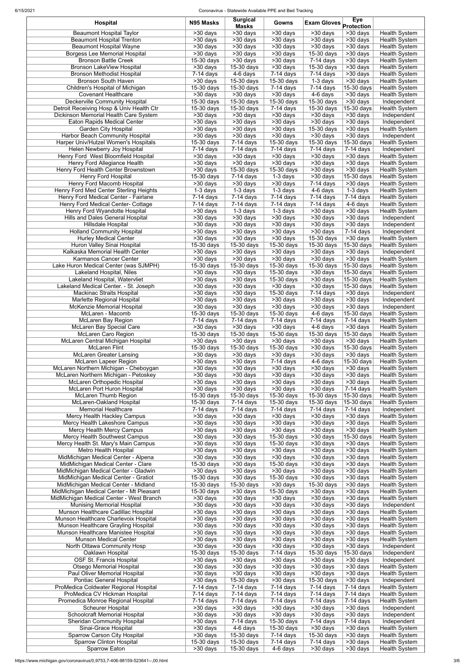| <b>Hospital</b>                                                                   | N95 Masks                           | <b>Surgical</b><br><b>Masks</b>        | Gowns                                | <b>Exam Gloves</b> Protection | <b>Eye</b>                 |                                       |
|-----------------------------------------------------------------------------------|-------------------------------------|----------------------------------------|--------------------------------------|-------------------------------|----------------------------|---------------------------------------|
| <b>Beaumont Hospital Taylor</b><br><b>Beaumont Hospital Trenton</b>               | $>30$ days<br>$\overline{>30}$ days | $\overline{>30}$ days<br>>30 days      | >30 days<br>>30 days                 | >30 days<br>>30 days          | >30 days<br>>30 days       | Health System<br>Health System        |
| <b>Beaumont Hospital Wayne</b>                                                    | >30 days                            | >30 days                               | >30 days                             | >30 days                      | >30 days                   | Health System                         |
| <b>Borgess Lee Memorial Hospital</b>                                              | $\overline{>30}$ days               | $>30$ days                             | >30 days                             | 15-30 days                    | >30 days                   | Health System                         |
| <b>Bronson Battle Creek</b>                                                       | 15-30 days                          | $\overline{>30}$ days                  | >30 days                             | $7-14$ days                   | >30 days                   | Health System                         |
| Bronson LakeView Hospital<br><b>Bronson Methodist Hospital</b>                    | >30 days<br>$7-14$ days             | 15-30 days<br>4-6 days                 | >30 days<br>$7-14$ days              | 15-30 days<br>$7-14$ days     | >30 days<br>>30 days       | Health System<br>Health System        |
| <b>Bronson South Haven</b>                                                        | >30 days                            | 15-30 days                             | $15-30$ days                         | $1-3$ days                    | >30 days                   | Health System                         |
| Children's Hospital of Michigan                                                   | $15-30$ days                        | 15-30 days                             | $7-14$ days                          | $7-14$ days                   | 15-30 days                 | <b>Health System</b>                  |
| <b>Covenant Healthcare</b>                                                        | >30 days                            | $>30$ days                             | >30 days                             | 4-6 days                      | >30 days                   | Health System                         |
| <b>Deckerville Community Hospital</b>                                             | $15-30$ days                        | 15-30 days                             | $15-30$ days                         | 15-30 days                    | $>30$ days                 | Independent                           |
| Detroit Receiving Hosp & Univ Health Ctr<br>Dickinson Memorial Health Care System | 15-30 days<br>>30 days              | 15-30 days<br>>30 days                 | $7-14$ days<br>>30 days              | 15-30 days<br>>30 days        | 15-30 days<br>>30 days     | <b>Health System</b><br>Independent   |
| <b>Eaton Rapids Medical Center</b>                                                | >30 days                            | >30 days                               | >30 days                             | $>30$ days                    | $>30$ days                 | Independent                           |
| <b>Garden City Hospital</b>                                                       | $\overline{>30}$ days               | >30 days                               | $\overline{>30}$ days                | 15-30 days                    | >30 days                   | <b>Health System</b>                  |
| Harbor Beach Community Hospital                                                   | >30 days                            | >30 days                               | >30 days                             | >30 days                      | >30 days                   | Independent                           |
| Harper Univ/Hutzel Women's Hospitals                                              | $15-30$ days                        | $7-14$ days                            | $15-30$ days                         | 15-30 days                    | 15-30 days                 | <b>Health System</b>                  |
| Helen Newberry Joy Hospital<br>Henry Ford West Bloomfield Hospital                | $7-14$ days<br>>30 days             | $7-14$ days<br>>30 days                | $7-14$ days<br>$\overline{>30}$ days | $7-14$ days<br>>30 days       | $7-14$ days<br>>30 days    | Independent<br>Health System          |
| Henry Ford Allegiance Health                                                      | $>30$ days                          | >30 days                               | $>30$ days                           | $>30$ days                    | $>30$ days                 | Health System                         |
| Henry Ford Health Center Brownstown                                               | >30 days                            | $15-30$ days                           | 15-30 days                           | >30 days                      | >30 days                   | Health System                         |
| Henry Ford Hospital                                                               | 15-30 days                          | $\overline{7}$ -14 days                | 1-3 days                             | >30 days                      | 15-30 days                 | Health System                         |
| <b>Henry Ford Macomb Hospital</b>                                                 | >30 days                            | >30 days                               | >30 days                             | $7-14$ days                   | >30 days                   | Health System                         |
| Henry Ford Med Center Sterling Heights                                            | $1-3$ days                          | 1-3 days                               | 1-3 days                             | 4-6 days                      | 1-3 days                   | Health System                         |
| Henry Ford Medical Center - Fairlane                                              | $7-14$ days                         | $7-14$ days                            | $7-14$ days<br>$7-14$ days           | $7-14$ days                   | $7-14$ days                | Health System                         |
| Henry Ford Medical Center- Cottage<br>Henry Ford Wyandotte Hospital               | $7-14$ days<br>>30 days             | $7-14$ days<br>1-3 days                | 1-3 days                             | $7-14$ days<br>>30 days       | 4-6 days<br>>30 days       | Health System<br><b>Health System</b> |
| Hills and Dales General Hospital                                                  | >30 days                            | >30 days                               | >30 days                             | >30 days                      | >30 days                   | Independent                           |
| Hillsdale Hospital                                                                | >30 days                            | $\overline{>30}$ days                  | $\overline{>30}$ days                | >30 days                      | >30 days                   | Independent                           |
| <b>Holland Community Hospital</b>                                                 | >30 days                            | $>30$ days                             | $\overline{\phantom{1}}$ > 30 days   | >30 days                      | $7-14$ days                | Independent                           |
| <b>Hurley Medical Center</b>                                                      | >30 days                            | >30 days                               | >30 days                             | 15-30 days                    | >30 days                   | <b>Health System</b>                  |
| Huron Valley Sinai Hospital                                                       | 15-30 days                          | $\overline{15}$ -30 days               | 15-30 days                           | 15-30 days                    | 15-30 days                 | Health System                         |
| Kalkaska Memorial Health Center<br>Karmanos Cancer Center                         | >30 days<br>>30 days                | >30 days<br>>30 days                   | >30 days<br>>30 days                 | >30 days<br>>30 days          | >30 days<br>>30 days       | Independent<br><b>Health System</b>   |
| Lake Huron Medical Center (was SJMPH)                                             | 15-30 days                          | 15-30 days                             | 15-30 days                           | 15-30 days                    | 15-30 days                 | <b>Health System</b>                  |
| Lakeland Hospital, Niles                                                          | >30 days                            | >30 days                               | 15-30 days                           | $>30$ days                    | 15-30 days                 | <b>Health System</b>                  |
| Lakeland Hospital, Watervliet                                                     | >30 days                            | >30 days                               | $15-30$ days                         | >30 days                      | 15-30 days                 | <b>Health System</b>                  |
| Lakeland Medical Center. - St. Joseph                                             | >30 days                            | >30 days                               | >30 days                             | >30 days                      | 15-30 days                 | Health System                         |
| Mackinac Straits Hospital                                                         | >30 days                            | >30 days                               | 15-30 days                           | $7-14$ days                   | >30 days                   | Independent                           |
| Marlette Regional Hospital                                                        | >30 days                            | >30 days                               | >30 days                             | >30 days                      | >30 days                   | Independent                           |
| McKenzie Memorial Hospital<br>McLaren - Macomb                                    | >30 days<br>15-30 days              | >30 days<br>15-30 days                 | >30 days<br>15-30 days               | >30 days<br>4-6 days          | >30 days<br>15-30 days     | Independent<br>Health System          |
| <b>McLaren Bay Region</b>                                                         | 7-14 days                           | $\overline{7}$ -14 days                | 7-14 days                            | 7-14 days                     | $7-14$ days                | Health System                         |
| McLaren Bay Special Care                                                          | >30 days                            | >30 days                               | >30 days                             | 4-6 days                      | >30 days                   | <b>Health System</b>                  |
| McLaren Caro Region                                                               | 15-30 days                          | 15-30 days                             | 15-30 days                           | 15-30 days                    | 15-30 days                 | Health System                         |
| McLaren Central Michigan Hospital                                                 | >30 days                            | >30 days                               | >30 days                             | >30 days                      | >30 days                   | Health System                         |
| <b>McLaren Flint</b>                                                              | 15-30 days                          | 15-30 days                             | 15-30 days                           | >30 days                      | 15-30 days                 | Health System                         |
| <b>McLaren Greater Lansing</b><br>McLaren Lapeer Region                           | $>30$ days<br>>30 days              | >30 days<br>>30 days                   | >30 days<br>7-14 days                | >30 days<br>4-6 days          | >30 days<br>15-30 days     | Health System<br>Health System        |
| McLaren Northern Michigan - Cheboygan                                             | >30 days                            | >30 days                               | >30 days                             | >30 days                      | >30 days                   | <b>Health System</b>                  |
| McLaren Northern Michigan - Petoskey                                              | $>30$ days                          | >30 days                               | >30 days                             | >30 days                      | >30 days                   | Health System                         |
| McLaren Orthopedic Hospital                                                       | $\overline{>30}$ days               | $\overline{>30}$ days                  | $\overline{>}30$ days                | >30 days                      | >30 days                   | Health System                         |
| McLaren Port Huron Hospital                                                       | >30 days                            | >30 days                               | >30 days                             | >30 days                      | $7-14$ days                | Health System                         |
| <b>McLaren Thumb Region</b>                                                       | 15-30 days                          | 15-30 days                             | 15-30 days                           | 15-30 days                    | 15-30 days                 | Health System                         |
| McLaren-Oakland Hospital<br>Memorial Healthcare                                   | 15-30 days                          | $7-14$ days<br>$\overline{7}$ -14 days | $15-30$ days                         | 15-30 days                    | 15-30 days                 | Health System                         |
| Mercy Health Hackley Campus                                                       | $7-14$ days<br>>30 days             | >30 days                               | 7-14 days<br>>30 days                | $7-14$ days<br>>30 days       | $7-14$ days<br>>30 days    | Independent<br>Health System          |
| Mercy Health Lakeshore Campus                                                     | >30 days                            | >30 days                               | $\overline{>30}$ days                | >30 days                      | >30 days                   | Health System                         |
| Mercy Health Mercy Campus                                                         | >30 days                            | >30 days                               | >30 days                             | >30 days                      | >30 days                   | Health System                         |
| Mercy Health Southwest Campus                                                     | >30 days                            | >30 days                               | 15-30 days                           | >30 days                      | 15-30 days                 | Health System                         |
| Mercy Health St. Mary's Main Campus                                               | >30 days                            | >30 days                               | 15-30 days                           | $>30$ days                    | $>30$ days                 | Health System                         |
| Metro Health Hospital                                                             | >30 days                            | >30 days                               | >30 days                             | >30 days                      | >30 days<br>>30 days       | Health System                         |
| MidMichigan Medical Center - Alpena<br>MidMichigan Medical Center - Clare         | >30 days<br>15-30 days              | >30 days<br>>30 days                   | >30 days<br>15-30 days               | >30 days<br>$>30$ days        | $>30$ days                 | Health System<br>Health System        |
| MidMichigan Medical Center - Gladwin                                              | >30 days                            | >30 days                               | >30 days                             | >30 days                      | >30 days                   | Health System                         |
| MidMichigan Medical Center - Gratiot                                              | 15-30 days                          | >30 days                               | 15-30 days                           | >30 days                      | >30 days                   | Health System                         |
| MidMichigan Medical Center - Midland                                              | $15-30$ days                        | 15-30 days                             | >30 days                             | 15-30 days                    | >30 days                   | Health System                         |
| MidMichigan Medical Center - Mt Pleasant                                          | 15-30 days                          | >30 days                               | 15-30 days                           | >30 days                      | >30 days                   | Health System                         |
| MidMichigan Medical Center - West Branch<br><b>Munising Memorial Hospital</b>     | >30 days<br>>30 days                | >30 days<br>>30 days                   | >30 days<br>>30 days                 | >30 days<br>>30 days          | >30 days<br>>30 days       | Health System<br>Independent          |
| Munson Healthcare Cadillac Hospital                                               | >30 days                            | >30 days                               | $>30$ days                           | >30 days                      | >30 days                   | Health System                         |
| Munson Healthcare Charlevoix Hospital                                             | $\overline{>30}$ days               | >30 days                               | >30 days                             | >30 days                      | >30 days                   | <b>Health System</b>                  |
| Munson Healthcare Grayling Hospital                                               | >30 days                            | $>30$ days                             | $\overline{\phantom{1}}$ > 30 days   | >30 days                      | >30 days                   | <b>Health System</b>                  |
| Munson Healthcare Manistee Hospital                                               | $\overline{>30}$ days               | >30 days                               | >30 days                             | >30 days                      | >30 days                   | Health System                         |
| <b>Munson Medical Center</b>                                                      | >30 days                            | >30 days                               | >30 days                             | $>30$ days                    | >30 days                   | Health System                         |
| North Ottawa Community Hosp                                                       | >30 days                            | >30 days                               | >30 days                             | >30 days                      | >30 days                   | Independent                           |
| Oaklawn Hospital<br><b>OSF St. Francis Hospital</b>                               | 15-30 days<br>>30 days              | 15-30 days<br>>30 days                 | 7-14 days<br>>30 days                | 15-30 days<br>>30 days        | $15-30$ days<br>$>30$ days | Independent<br>Independent            |
| <b>Otsego Memorial Hospital</b>                                                   | >30 days                            | >30 days                               | >30 days                             | >30 days                      | >30 days                   | <b>Health System</b>                  |
| Paul Oliver Memorial Hospital                                                     | >30 days                            | >30 days                               | >30 days                             | >30 days                      | >30 days                   | <b>Health System</b>                  |
| Pontiac General Hospital                                                          | >30 days                            | 15-30 days                             | >30 days                             | 15-30 days                    | $>30$ days                 | Independent                           |
| ProMedica Coldwater Regional Hospital                                             | $7-14$ days                         | $7-14$ days                            | $7-14$ days                          | $7-14$ days                   | $7-14$ days                | Health System                         |
| ProMedica CV Hickman Hospital                                                     | $7-14$ days                         | $7-14$ days                            | 7-14 days                            | $7-14$ days                   | $7-14$ days                | Health System                         |
| Promedica Monroe Regional Hospital                                                | $7-14$ days                         | $7-14$ days                            | $7-14$ days                          | $7-14$ days                   | 7-14 days                  | Health System                         |
| <b>Scheurer Hospital</b><br>Schoolcraft Memorial Hospital                         | >30 days<br>>30 days                | >30 days<br>>30 days                   | >30 days<br>>30 days                 | >30 days<br>>30 days          | >30 days<br>>30 days       | Independent<br>Independent            |
| <b>Sheridan Community Hospital</b>                                                | >30 days                            | $7-14$ days                            | 15-30 days                           | 7-14 days                     | $7-14$ days                | Independent                           |
| Sinai-Grace Hospital                                                              | >30 days                            | $\overline{4}$ -6 days                 | 15-30 days                           | >30 days                      | >30 days                   | <b>Health System</b>                  |
| Sparrow Carson City Hospital                                                      | >30 days                            | 15-30 days                             | 7-14 days                            | 15-30 days                    | >30 days                   | Health System                         |
|                                                                                   |                                     |                                        |                                      | 7-14 days                     | >30 days                   | Health System                         |
| <b>Sparrow Clinton Hospital</b><br>Sparrow Eaton                                  | 15-30 days<br>$>30$ days            | $15-30$ days<br>15-30 days             | $7-14$ days<br>4-6 days              | >30 days                      | >30 days                   | <b>Health System</b>                  |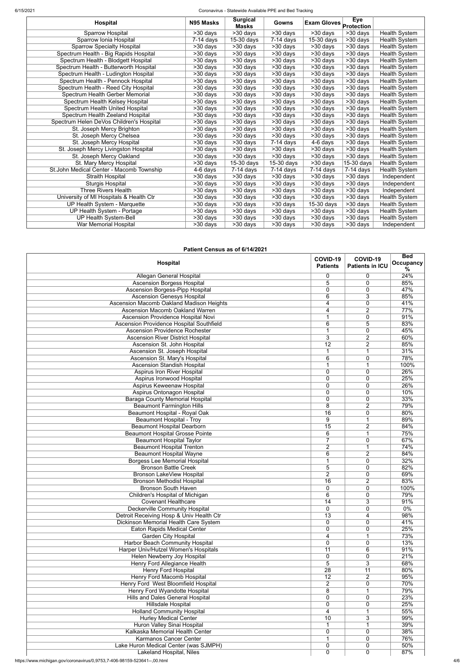#### 6/15/2021 Coronavirus - Statewide Available PPE and Bed Tracking

| <b>Hospital</b>                          | N95 Masks   | <b>Surgical</b><br><b>Masks</b> | <b>Gowns</b>          | <b>Exam Gloves</b> | <b>Eye</b><br>Protection |                      |
|------------------------------------------|-------------|---------------------------------|-----------------------|--------------------|--------------------------|----------------------|
| Sparrow Hospital                         | $>30$ days  | $\overline{>30}$ days           | >30 days              | $>30$ days         | >30 days                 | Health System        |
| Sparrow Ionia Hospital                   | $7-14$ days | $\overline{15}$ -30 days        | $7-14$ days           | $15-30$ days       | $\overline{>30}$ days    | <b>Health System</b> |
| <b>Sparrow Specialty Hospital</b>        | >30 days    | >30 days                        | >30 days              | >30 days           | $>30$ days               | Health System        |
| Spectrum Health - Big Rapids Hospital    | >30 days    | >30 days                        | >30 days              | >30 days           | $>30$ days               | <b>Health System</b> |
| Spectrum Health - Blodgett Hospital      | >30 days    | >30 days                        | $>30$ days            | >30 days           | >30 days                 | Health System        |
| Spectrum Health - Butterworth Hospital   | >30 days    | >30 days                        | >30 days              | >30 days           | $>30$ days               | Health System        |
| Spectrum Health - Ludington Hospital     | >30 days    | >30 days                        | >30 days              | >30 days           | $>30$ days               | <b>Health System</b> |
| Spectrum Health - Pennock Hospital       | >30 days    | $>30$ days                      | $>30$ days            | >30 days           | >30 days                 | Health System        |
| Spectrum Health - Reed City Hospital     | >30 days    | >30 days                        | $>30$ days            | >30 days           | $>30$ days               | <b>Health System</b> |
| Spectrum Health Gerber Memorial          | >30 days    | >30 days                        | >30 days              | >30 days           | $>30$ days               | Health System        |
| Spectrum Health Kelsey Hospital          | >30 days    | >30 days                        | $>30$ days            | >30 days           | >30 days                 | Health System        |
| Spectrum Health United Hospital          | >30 days    | >30 days                        | >30 days              | >30 days           | $\overline{>30}$ days    | Health System        |
| Spectrum Health Zeeland Hospital         | >30 days    | >30 days                        | >30 days              | >30 days           | >30 days                 | Health System        |
| Spectrum Helen DeVos Children's Hospital | >30 days    | >30 days                        | >30 days              | $>30$ days         | $\overline{>30}$ days    | <b>Health System</b> |
| St. Joseph Mercy Brighton                | >30 days    | >30 days                        | >30 days              | >30 days           | $>30$ days               | <b>Health System</b> |
| St. Joseph Mercy Chelsea                 | >30 days    | $>30$ days                      | >30 days              | >30 days           | >30 days                 | Health System        |
| St. Joseph Mercy Hospital                | >30 days    | $\overline{>30}$ days           | $7-14$ days           | 4-6 days           | $>30$ days               | Health System        |
| St. Joseph Mercy Livingston Hospital     | >30 days    | >30 days                        | >30 days              | >30 days           | >30 days                 | <b>Health System</b> |
| St. Joseph Mercy Oakland                 | >30 days    | >30 days                        | >30 days              | >30 days           | >30 days                 | Health System        |
| St. Mary Mercy Hospital                  | >30 days    | $15-30$ days                    | 15-30 days            | >30 days           | $15-30$ days             | Health System        |
| St.John Medical Center - Macomb Township | 4-6 days    | $7-14$ days                     | $7-14$ days           | $7-14$ days        | $7-14$ days              | Health System        |
| Straith Hospital                         | >30 days    | $>30$ days                      | $>30$ days            | >30 days           | $>30$ days               | Independent          |
| <b>Sturgis Hospital</b>                  | >30 days    | >30 days                        | $\overline{>30}$ days | >30 days           | $\overline{>30}$ days    | Independent          |
| <b>Three Rivers Health</b>               | >30 days    | >30 days                        | >30 days              | >30 days           | >30 days                 | Independent          |
| University of MI Hospitals & Health Ctr  | >30 days    | >30 days                        | >30 days              | $>30$ days         | $>30$ days               | <b>Health System</b> |
| UP Health System - Marquette             | $>30$ days  | $\overline{>}30$ days           | $>30$ days            | 15-30 days         | $\overline{>30}$ days    | <b>Health System</b> |
| UP Health System - Portage               | >30 days    | >30 days                        | >30 days              | >30 days           | $>30$ days               | Health System        |
| UP Health System-Bell                    | >30 days    | >30 days                        | >30 days              | >30 days           | $>30$ days               | <b>Health System</b> |
| War Memorial Hospital                    | >30 days    | >30 days                        | >30 days              | $>30$ days         | >30 days                 | Independent          |

## **Patient Census as of 6/14/2021**

|                                                 | COVID-19        | COVID-19               | <b>Bed</b>     |
|-------------------------------------------------|-----------------|------------------------|----------------|
| Hospital                                        | <b>Patients</b> | <b>Patients in ICU</b> | Occupancy<br>% |
| Allegan General Hospital                        | 0               | 0                      | 24%            |
| <b>Ascension Borgess Hospital</b>               | 5               | 0                      | 85%            |
| <b>Ascension Borgess-Pipp Hospital</b>          | 0               | 0                      | 47%            |
| <b>Ascension Genesys Hospital</b>               | 6               | 3                      | 85%            |
| Ascension Macomb Oakland Madison Heights        |                 |                        | 41%            |
|                                                 | 4               | 0                      |                |
| Ascension Macomb Oakland Warren                 | 4               | 2                      | 77%            |
| Ascension Providence Hospital Novi              | 1               | 0                      | 91%            |
| <b>Ascension Providence Hospital Southfield</b> | 6               | 5                      | 83%            |
| <b>Ascension Providence Rochester</b>           | 1               | 0                      | 45%            |
| <b>Ascension River District Hospital</b>        | 3               | $\overline{2}$         | 60%            |
| Ascension St. John Hospital                     | $\overline{12}$ | $\overline{2}$         | 85%            |
| Ascension St. Joseph Hospital                   | 1               | 1                      | 31%            |
| Ascension St. Mary's Hospital                   | 6               | 0                      | 78%            |
| <b>Ascension Standish Hospital</b>              | 1               | 1                      | 100%           |
| <b>Aspirus Iron River Hospital</b>              | 0               | 0                      | 26%            |
| Aspirus Ironwood Hospital                       | 0               | 0                      | 25%            |
| Aspirus Keweenaw Hospital                       | 0               | 0                      | 26%            |
| Aspirus Ontonagon Hospital                      | 0               | 0                      | 10%            |
| <b>Baraga County Memorial Hospital</b>          | 0               | 0                      | 33%            |
| <b>Beaumont Farmington Hills</b>                | 8               | $\overline{2}$         | 79%            |
| Beaumont Hospital - Royal Oak                   | 16              | 0                      | 80%            |
| <b>Beaumont Hospital - Troy</b>                 | 9               | 1                      | 89%            |
| <b>Beaumont Hospital Dearborn</b>               | 15              | $\overline{2}$         | 84%            |
| <b>Beaumont Hospital Grosse Pointe</b>          | 6               | 1                      | 75%            |
| <b>Beaumont Hospital Taylor</b>                 | $\overline{7}$  | 0                      | 67%            |
| <b>Beaumont Hospital Trenton</b>                | $\overline{2}$  | 1                      | 74%            |
|                                                 |                 |                        |                |
| <b>Beaumont Hospital Wayne</b>                  | 6               | $\overline{2}$         | 84%            |
| <b>Borgess Lee Memorial Hospital</b>            | 1               | 0                      | 32%            |
| <b>Bronson Battle Creek</b>                     | 5               | 0                      | 82%            |
| <b>Bronson LakeView Hospital</b>                | $\overline{2}$  | 0                      | 69%            |
| <b>Bronson Methodist Hospital</b>               | 16              | $\overline{2}$         | 83%            |
| <b>Bronson South Haven</b>                      | $\mathbf 0$     | 0                      | 100%           |
| Children's Hospital of Michigan                 | 6               | 0                      | 79%            |
| <b>Covenant Healthcare</b>                      | 14              | 3                      | 91%            |
| <b>Deckerville Community Hospital</b>           | 0               | 0                      | 0%             |
| Detroit Receiving Hosp & Univ Health Ctr        | 13              | 4                      | 98%            |
| Dickinson Memorial Health Care System           | 0               | 0                      | 41%            |
| <b>Eaton Rapids Medical Center</b>              | 0               | 0                      | 25%            |
| <b>Garden City Hospital</b>                     | 4               | 1                      | 73%            |
| Harbor Beach Community Hospital                 | $\mathbf 0$     | 0                      | 13%            |
| Harper Univ/Hutzel Women's Hospitals            | 11              | 6                      | 91%            |
| Helen Newberry Joy Hospital                     | 0               | 0                      | 21%            |
| <b>Henry Ford Allegiance Health</b>             | $\overline{5}$  | $\overline{3}$         | 68%            |
| <b>Henry Ford Hospital</b>                      | 28              | 11                     | 80%            |
| Henry Ford Macomb Hospital                      | 12              | $\overline{2}$         | 95%            |
| Henry Ford West Bloomfield Hospital             | $\overline{2}$  | $\overline{0}$         | 70%            |
| Henry Ford Wyandotte Hospital                   | 8               | 1                      | 79%            |
| Hills and Dales General Hospital                | 0               | 0                      | 23%            |
| Hillsdale Hospital                              | 0               | 0                      | 25%            |
| <b>Holland Community Hospital</b>               | 4               | 1                      | 55%            |
|                                                 |                 |                        | 99%            |
| <b>Hurley Medical Center</b>                    | 10<br>1         | 3                      |                |
| Huron Valley Sinai Hospital                     |                 | 1                      | 39%            |
| Kalkaska Memorial Health Center                 | 0               | 0                      | 38%            |
| Karmanos Cancer Center                          | 1               | 0                      | 76%            |
| Lake Huron Medical Center (was SJMPH)           | 0               | 0                      | 50%            |
| Lakeland Hospital, Niles                        | 0               | 0                      | 87%            |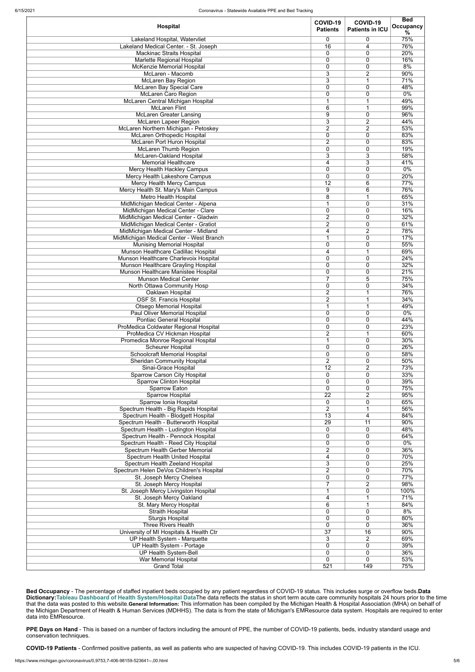| Hospital                                                                     | COVID-19<br><b>Patients</b>    | COVID-19<br><b>Patients in ICU</b> | <b>Bed</b><br>Occupancy<br>$\%$ |
|------------------------------------------------------------------------------|--------------------------------|------------------------------------|---------------------------------|
| Lakeland Hospital, Watervliet<br>Lakeland Medical Center. - St. Joseph       | 0<br>16                        | 0<br>4                             | 75%<br>76%                      |
| <b>Mackinac Straits Hospital</b>                                             | 0                              | 0                                  | 20%                             |
| Marlette Regional Hospital                                                   | 0                              | 0                                  | 16%                             |
| McKenzie Memorial Hospital<br>McLaren - Macomb                               | 0<br>$\overline{3}$            | 0<br>$\overline{2}$                | 8%<br>90%                       |
| <b>McLaren Bay Region</b>                                                    | 3                              | 1                                  | 71%                             |
| McLaren Bay Special Care                                                     | $\mathbf 0$                    | 0                                  | 48%                             |
| <b>McLaren Caro Region</b>                                                   | 0                              | 0                                  | $0\%$                           |
| McLaren Central Michigan Hospital<br><b>McLaren Flint</b>                    | 1<br>6                         | 1<br>1                             | 49%<br>99%                      |
| <b>McLaren Greater Lansing</b>                                               | $\overline{9}$                 | 0                                  | 96%                             |
| McLaren Lapeer Region                                                        | 3                              | $\overline{2}$                     | 44%                             |
| McLaren Northern Michigan - Petoskey                                         | 2                              | $\overline{2}$                     | 53%                             |
| McLaren Orthopedic Hospital<br>McLaren Port Huron Hospital                   | 0<br>2                         | 0<br>0                             | 83%<br>83%                      |
| McLaren Thumb Region                                                         | 0                              | 0                                  | 19%                             |
| McLaren-Oakland Hospital                                                     | $\overline{3}$                 | $\overline{3}$                     | 58%                             |
| <b>Memorial Healthcare</b>                                                   | 4                              | 3                                  | 41%                             |
| Mercy Health Hackley Campus                                                  | $\mathbf 0$                    | 0                                  | $0\%$                           |
| Mercy Health Lakeshore Campus<br>Mercy Health Mercy Campus                   | $\mathbf 0$<br>12              | 0<br>6                             | 20%<br>77%                      |
| Mercy Health St. Mary's Main Campus                                          | 9                              | 6                                  | 76%                             |
| <b>Metro Health Hospital</b>                                                 | $\overline{8}$                 | 1                                  | 65%                             |
| MidMichigan Medical Center - Alpena                                          | 1                              | 0                                  | 31%                             |
| MidMichigan Medical Center - Clare<br>MidMichigan Medical Center - Gladwin   | 0<br>$\overline{2}$            | 0<br>0                             | 16%<br>32%                      |
| MidMichigan Medical Center - Gratiot                                         | $\overline{2}$                 | 0                                  | 61%                             |
| MidMichigan Medical Center - Midland                                         | 4                              | 2                                  | 78%                             |
| MidMichigan Medical Center - West Branch                                     | 1                              | 0                                  | 17%                             |
| <b>Munising Memorial Hospital</b>                                            | $\mathbf 0$                    | 0                                  | 55%                             |
| Munson Healthcare Cadillac Hospital<br>Munson Healthcare Charlevoix Hospital | 4<br>0                         | 1<br>0                             | 69%<br>24%                      |
| Munson Healthcare Grayling Hospital                                          | 0                              | 0                                  | 32%                             |
| Munson Healthcare Manistee Hospital                                          | 0                              | 0                                  | 21%                             |
| <b>Munson Medical Center</b>                                                 | $\overline{7}$                 | 5                                  | 75%                             |
| North Ottawa Community Hosp<br>Oaklawn Hospital                              | 0<br>$\overline{2}$            | 0<br>1                             | 34%<br>76%                      |
| OSF St. Francis Hospital                                                     | $\overline{2}$                 | 1                                  | 34%                             |
| <b>Otsego Memorial Hospital</b>                                              | 1                              | 1                                  | 49%                             |
| <b>Paul Oliver Memorial Hospital</b>                                         | $\mathbf 0$                    | 0                                  | $0\%$                           |
| Pontiac General Hospital<br>ProMedica Coldwater Regional Hospital            | 0<br>0                         | 0<br>0                             | 44%<br>23%                      |
| ProMedica CV Hickman Hospital                                                | $\overline{2}$                 | 1                                  | 60%                             |
| Promedica Monroe Regional Hospital                                           | 1                              | 0                                  | 30%                             |
| <b>Scheurer Hospital</b>                                                     | 0                              | 0                                  | 26%                             |
| Schoolcraft Memorial Hospital<br><b>Sheridan Community Hospital</b>          | 0<br>$\overline{2}$            | 0<br>0                             | 58%<br>50%                      |
| Sinai-Grace Hospital                                                         | 12                             | $\overline{2}$                     | 73%                             |
| <b>Sparrow Carson City Hospital</b>                                          | $\mathbf 0$                    | 0                                  | 33%                             |
| <b>Sparrow Clinton Hospital</b>                                              | $\mathbf 0$                    | 0                                  | 39%                             |
| <b>Sparrow Eaton</b>                                                         | 0                              | 0                                  | 75%                             |
| <b>Sparrow Hospital</b><br>Sparrow Ionia Hospital                            | $\overline{22}$<br>$\mathbf 0$ | $\overline{2}$<br>0                | 95%<br>65%                      |
| Spectrum Health - Big Rapids Hospital                                        | $\overline{2}$                 | 1                                  | 56%                             |
| Spectrum Health - Blodgett Hospital                                          | $\overline{13}$                | 4                                  | 84%                             |
| Spectrum Health - Butterworth Hospital                                       | 29                             | 11                                 | 90%                             |
| Spectrum Health - Ludington Hospital<br>Spectrum Health - Pennock Hospital   | 0<br>$\mathbf 0$               | 0<br>0                             | 48%<br>64%                      |
| Spectrum Health - Reed City Hospital                                         | 0                              | 0                                  | 0%                              |
| Spectrum Health Gerber Memorial                                              | 2                              | 0                                  | 36%                             |
| <b>Spectrum Health United Hospital</b>                                       | 4                              | 0                                  | 70%                             |
| Spectrum Health Zeeland Hospital<br>Spectrum Helen DeVos Children's Hospital | 3<br>$\overline{2}$            | 0<br>0                             | 25%<br>70%                      |
| St. Joseph Mercy Chelsea                                                     | $\overline{0}$                 | 0                                  | 77%                             |
| St. Joseph Mercy Hospital                                                    | $\overline{7}$                 | $\overline{2}$                     | 98%                             |
| St. Joseph Mercy Livingston Hospital                                         | 1                              | 0                                  | 100%                            |
| St. Joseph Mercy Oakland                                                     | 4                              | 1                                  | 71%                             |
| St. Mary Mercy Hospital<br><b>Straith Hospital</b>                           | 6<br>0                         | 1<br>0                             | 84%<br>8%                       |
| <b>Sturgis Hospital</b>                                                      | 0                              | 0                                  | 80%                             |
| Three Rivers Health                                                          | 0                              | 0                                  | 36%                             |
| University of MI Hospitals & Health Ctr                                      | $\overline{37}$                | $\overline{16}$                    | 90%                             |
| UP Health System - Marquette<br>UP Health System - Portage                   | 3<br>$\pmb{0}$                 | $\overline{c}$<br>0                | 69%<br>39%                      |
| <b>UP Health System-Bell</b>                                                 | $\pmb{0}$                      | 0                                  | 36%                             |
| War Memorial Hospital                                                        | $\mathbf 0$                    | 0                                  | 53%                             |
| <b>Grand Total</b>                                                           | 521                            | 149                                | 75%                             |

**Bed Occupancy** - The percentage of staffed inpatient beds occupied by any patient regardless of COVID-19 status. This includes surge or overflow beds.**Data Dictionary:[Tableau Dashboard of Health System/Hospital Data](https://public.tableau.com/profile/mhapublic#!/vizhome/COVIDPublicDashboard/PleaseRead)**The data reflects the status in short term acute care community hospitals 24 hours prior to the time that the data was posted to this website.**General Information:** This information has been compiled by the Michigan Health & Hospital Association (MHA) on behalf of the Michigan Department of Health & Human Services (MDHHS). The data is from the state of Michigan's EMResource data system. Hospitals are required to enter data into EMResource.

**PPE Days on Hand** - This is based on a number of factors including the amount of PPE, the number of COVID-19 patients, beds, industry standard usage and conservation techniques.

**COVID-19 Patients** - Confirmed positive patients, as well as patients who are suspected of having COVID-19. This includes COVID-19 patients in the ICU.